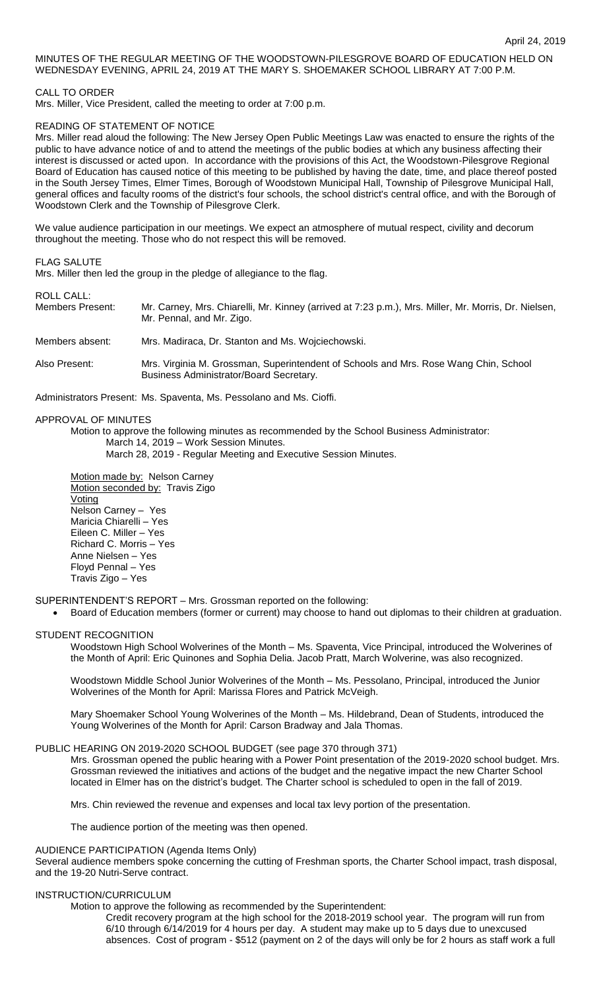# MINUTES OF THE REGULAR MEETING OF THE WOODSTOWN-PILESGROVE BOARD OF EDUCATION HELD ON WEDNESDAY EVENING, APRIL 24, 2019 AT THE MARY S. SHOEMAKER SCHOOL LIBRARY AT 7:00 P.M.

CALL TO ORDER

Mrs. Miller, Vice President, called the meeting to order at 7:00 p.m.

# READING OF STATEMENT OF NOTICE

Mrs. Miller read aloud the following: The New Jersey Open Public Meetings Law was enacted to ensure the rights of the public to have advance notice of and to attend the meetings of the public bodies at which any business affecting their interest is discussed or acted upon. In accordance with the provisions of this Act, the Woodstown-Pilesgrove Regional Board of Education has caused notice of this meeting to be published by having the date, time, and place thereof posted in the South Jersey Times, Elmer Times, Borough of Woodstown Municipal Hall, Township of Pilesgrove Municipal Hall, general offices and faculty rooms of the district's four schools, the school district's central office, and with the Borough of Woodstown Clerk and the Township of Pilesgrove Clerk.

We value audience participation in our meetings. We expect an atmosphere of mutual respect, civility and decorum throughout the meeting. Those who do not respect this will be removed.

# FLAG SALUTE

Mrs. Miller then led the group in the pledge of allegiance to the flag.

# ROLL CALL:

| <b>Members Present:</b> | Mr. Carney, Mrs. Chiarelli, Mr. Kinney (arrived at 7:23 p.m.), Mrs. Miller, Mr. Morris, Dr. Nielsen, |
|-------------------------|------------------------------------------------------------------------------------------------------|
|                         | Mr. Pennal, and Mr. Zigo.                                                                            |
|                         |                                                                                                      |

### Members absent: Mrs. Madiraca, Dr. Stanton and Ms. Wojciechowski.

Also Present: Mrs. Virginia M. Grossman, Superintendent of Schools and Mrs. Rose Wang Chin, School Business Administrator/Board Secretary.

Administrators Present: Ms. Spaventa, Ms. Pessolano and Ms. Cioffi.

### APPROVAL OF MINUTES

Motion to approve the following minutes as recommended by the School Business Administrator: March 14, 2019 – Work Session Minutes.

March 28, 2019 - Regular Meeting and Executive Session Minutes.

Motion made by: Nelson Carney Motion seconded by: Travis Zigo Voting Nelson Carney – Yes Maricia Chiarelli – Yes Eileen C. Miller – Yes Richard C. Morris – Yes Anne Nielsen – Yes Floyd Pennal – Yes Travis Zigo – Yes

### SUPERINTENDENT'S REPORT – Mrs. Grossman reported on the following:

Board of Education members (former or current) may choose to hand out diplomas to their children at graduation.

### STUDENT RECOGNITION

Woodstown High School Wolverines of the Month – Ms. Spaventa, Vice Principal, introduced the Wolverines of the Month of April: Eric Quinones and Sophia Delia. Jacob Pratt, March Wolverine, was also recognized.

Woodstown Middle School Junior Wolverines of the Month – Ms. Pessolano, Principal, introduced the Junior Wolverines of the Month for April: Marissa Flores and Patrick McVeigh.

Mary Shoemaker School Young Wolverines of the Month – Ms. Hildebrand, Dean of Students, introduced the Young Wolverines of the Month for April: Carson Bradway and Jala Thomas.

### PUBLIC HEARING ON 2019-2020 SCHOOL BUDGET (see page 370 through 371)

Mrs. Grossman opened the public hearing with a Power Point presentation of the 2019-2020 school budget. Mrs. Grossman reviewed the initiatives and actions of the budget and the negative impact the new Charter School located in Elmer has on the district's budget. The Charter school is scheduled to open in the fall of 2019.

Mrs. Chin reviewed the revenue and expenses and local tax levy portion of the presentation.

The audience portion of the meeting was then opened.

#### AUDIENCE PARTICIPATION (Agenda Items Only)

Several audience members spoke concerning the cutting of Freshman sports, the Charter School impact, trash disposal, and the 19-20 Nutri-Serve contract.

### INSTRUCTION/CURRICULUM

Motion to approve the following as recommended by the Superintendent:

Credit recovery program at the high school for the 2018-2019 school year. The program will run from 6/10 through 6/14/2019 for 4 hours per day. A student may make up to 5 days due to unexcused absences. Cost of program - \$512 (payment on 2 of the days will only be for 2 hours as staff work a full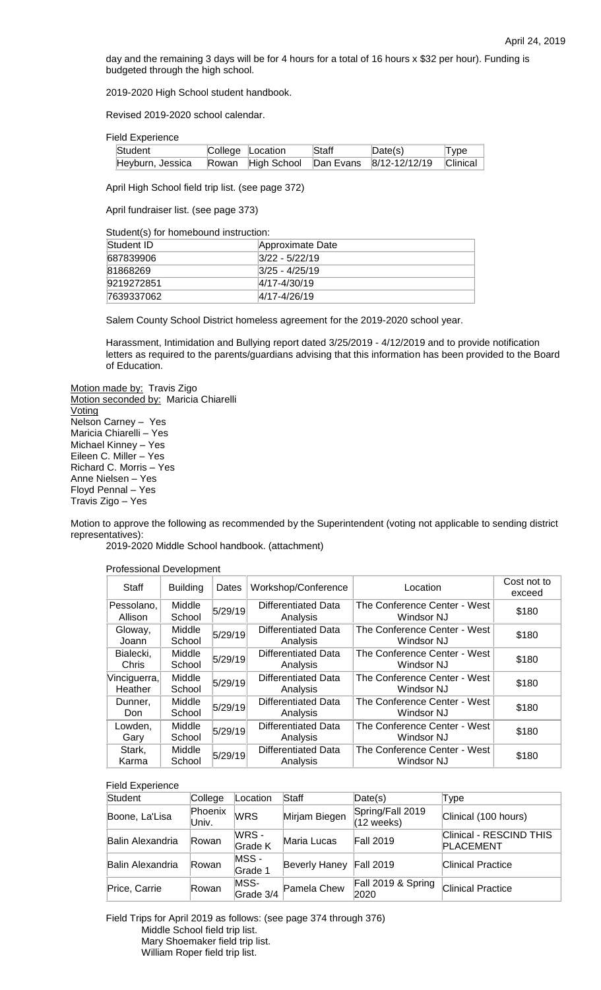day and the remaining 3 days will be for 4 hours for a total of 16 hours x \$32 per hour). Funding is budgeted through the high school.

2019-2020 High School student handbook.

Revised 2019-2020 school calendar.

Field Experience

| Student                                                             | College Location | Staff | Date(s) | Type |
|---------------------------------------------------------------------|------------------|-------|---------|------|
| Heyburn, Jessica Rowan High School Dan Evans 8/12-12/12/19 Clinical |                  |       |         |      |

April High School field trip list. (see page 372)

April fundraiser list. (see page 373)

Student(s) for homebound instruction:

| Student ID | Approximate Date   |
|------------|--------------------|
| 687839906  | $ 3/22 - 5/22/19 $ |
| 81868269   | $ 3/25 - 4/25/19 $ |
| 9219272851 | $ 4/17 - 4/30/19 $ |
| 7639337062 | $ 4/17 - 4/26/19 $ |

Salem County School District homeless agreement for the 2019-2020 school year.

Harassment, Intimidation and Bullying report dated 3/25/2019 - 4/12/2019 and to provide notification letters as required to the parents/guardians advising that this information has been provided to the Board of Education.

Motion made by: Travis Zigo Motion seconded by: Maricia Chiarelli **Voting** Nelson Carney – Yes Maricia Chiarelli – Yes Michael Kinney – Yes Eileen C. Miller – Yes Richard C. Morris – Yes Anne Nielsen – Yes Floyd Pennal – Yes Travis Zigo – Yes

Motion to approve the following as recommended by the Superintendent (voting not applicable to sending district representatives):

2019-2020 Middle School handbook. (attachment)

Professional Development

| Staff                   | <b>Building</b>  | Dates   | Workshop/Conference                    | Location                                   | Cost not to<br>exceed |
|-------------------------|------------------|---------|----------------------------------------|--------------------------------------------|-----------------------|
| Pessolano,<br>Allison   | Middle<br>School | 5/29/19 | Differentiated Data<br>Analysis        | The Conference Center - West<br>Windsor NJ | \$180                 |
| Gloway,<br>Joann        | Middle<br>School | 5/29/19 | <b>Differentiated Data</b><br>Analysis | The Conference Center - West<br>Windsor NJ | \$180                 |
| Bialecki,<br>Chris      | Middle<br>School | 5/29/19 | <b>Differentiated Data</b><br>Analysis | The Conference Center - West<br>Windsor NJ | \$180                 |
| Vinciguerra,<br>Heather | Middle<br>School | 5/29/19 | Differentiated Data<br>Analysis        | The Conference Center - West<br>Windsor NJ | \$180                 |
| Dunner,<br>Don          | Middle<br>School | 5/29/19 | <b>Differentiated Data</b><br>Analysis | The Conference Center - West<br>Windsor NJ | \$180                 |
| Lowden.<br>Gary         | Middle<br>School | 5/29/19 | Differentiated Data<br>Analysis        | The Conference Center - West<br>Windsor NJ | \$180                 |
| Stark,<br>Karma         | Middle<br>School | 5/29/19 | <b>Differentiated Data</b><br>Analysis | The Conference Center - West<br>Windsor NJ | \$180                 |

Field Experience

| Student                 | College          | Location          | Staff                   | Date(s)                                  | Type                                 |
|-------------------------|------------------|-------------------|-------------------------|------------------------------------------|--------------------------------------|
| Boone, La'Lisa          | Phoenix<br>Univ. | <b>WRS</b>        | Mirjam Biegen           | Spring/Fall 2019<br>$(12 \text{ weeks})$ | Clinical (100 hours)                 |
| Balin Alexandria        | Rowan            | WRS -<br>Grade K  | Maria Lucas             | <b>Fall 2019</b>                         | Clinical - RESCIND THIS<br>PLACEMENT |
| <b>Balin Alexandria</b> | lRowan.          | MSS-<br>Grade 1   | Beverly Haney Fall 2019 |                                          | <b>Clinical Practice</b>             |
| Price, Carrie           | Rowan            | MSS-<br>Grade 3/4 | Pamela Chew             | Fall 2019 & Spring<br>2020               | <b>Clinical Practice</b>             |

Field Trips for April 2019 as follows: (see page 374 through 376) Middle School field trip list. Mary Shoemaker field trip list. William Roper field trip list.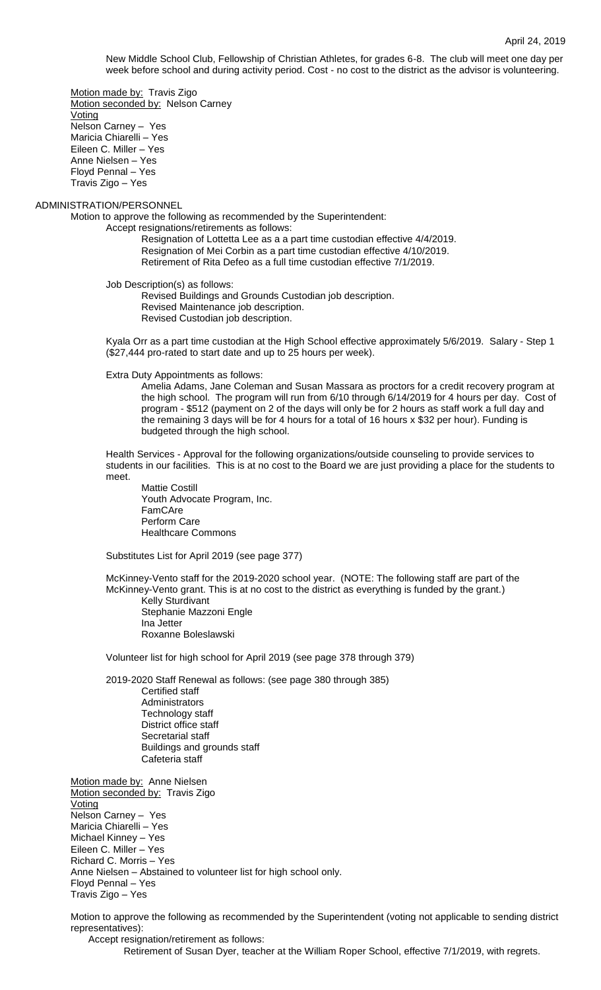New Middle School Club, Fellowship of Christian Athletes, for grades 6-8. The club will meet one day per week before school and during activity period. Cost - no cost to the district as the advisor is volunteering.

Motion made by: Travis Zigo Motion seconded by: Nelson Carney **Voting** Nelson Carney – Yes Maricia Chiarelli – Yes Eileen C. Miller – Yes Anne Nielsen – Yes Floyd Pennal – Yes Travis Zigo – Yes

ADMINISTRATION/PERSONNEL

Motion to approve the following as recommended by the Superintendent:

Accept resignations/retirements as follows:

Resignation of Lottetta Lee as a a part time custodian effective 4/4/2019. Resignation of Mei Corbin as a part time custodian effective 4/10/2019. Retirement of Rita Defeo as a full time custodian effective 7/1/2019.

Job Description(s) as follows:

Revised Buildings and Grounds Custodian job description. Revised Maintenance job description. Revised Custodian job description.

Kyala Orr as a part time custodian at the High School effective approximately 5/6/2019. Salary - Step 1 (\$27,444 pro-rated to start date and up to 25 hours per week).

Extra Duty Appointments as follows:

Amelia Adams, Jane Coleman and Susan Massara as proctors for a credit recovery program at the high school. The program will run from 6/10 through 6/14/2019 for 4 hours per day. Cost of program - \$512 (payment on 2 of the days will only be for 2 hours as staff work a full day and the remaining 3 days will be for 4 hours for a total of 16 hours x \$32 per hour). Funding is budgeted through the high school.

Health Services - Approval for the following organizations/outside counseling to provide services to students in our facilities. This is at no cost to the Board we are just providing a place for the students to meet.

Mattie Costill Youth Advocate Program, Inc. FamCAre Perform Care Healthcare Commons

Substitutes List for April 2019 (see page 377)

McKinney-Vento staff for the 2019-2020 school year. (NOTE: The following staff are part of the McKinney-Vento grant. This is at no cost to the district as everything is funded by the grant.) Kelly Sturdivant

Stephanie Mazzoni Engle Ina Jetter Roxanne Boleslawski

Volunteer list for high school for April 2019 (see page 378 through 379)

2019-2020 Staff Renewal as follows: (see page 380 through 385) Certified staff Administrators Technology staff District office staff Secretarial staff Buildings and grounds staff Cafeteria staff

Motion made by: Anne Nielsen Motion seconded by: Travis Zigo **Voting** Nelson Carney – Yes Maricia Chiarelli – Yes Michael Kinney – Yes Eileen C. Miller – Yes Richard C. Morris – Yes Anne Nielsen – Abstained to volunteer list for high school only. Floyd Pennal – Yes Travis Zigo – Yes

Motion to approve the following as recommended by the Superintendent (voting not applicable to sending district representatives):

Accept resignation/retirement as follows: Retirement of Susan Dyer, teacher at the William Roper School, effective 7/1/2019, with regrets.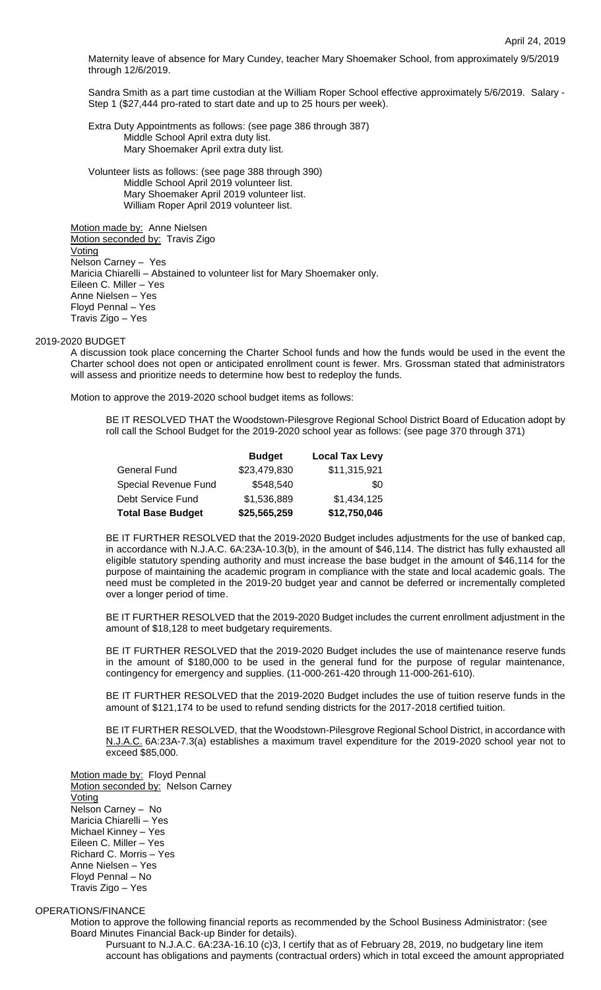Maternity leave of absence for Mary Cundey, teacher Mary Shoemaker School, from approximately 9/5/2019 through 12/6/2019.

Sandra Smith as a part time custodian at the William Roper School effective approximately 5/6/2019. Salary - Step 1 (\$27,444 pro-rated to start date and up to 25 hours per week).

Extra Duty Appointments as follows: (see page 386 through 387) Middle School April extra duty list. Mary Shoemaker April extra duty list.

Volunteer lists as follows: (see page 388 through 390) Middle School April 2019 volunteer list. Mary Shoemaker April 2019 volunteer list. William Roper April 2019 volunteer list.

Motion made by: Anne Nielsen Motion seconded by: Travis Zigo **Voting** Nelson Carney – Yes Maricia Chiarelli – Abstained to volunteer list for Mary Shoemaker only. Eileen C. Miller – Yes Anne Nielsen – Yes Floyd Pennal – Yes Travis Zigo – Yes

### 2019-2020 BUDGET

A discussion took place concerning the Charter School funds and how the funds would be used in the event the Charter school does not open or anticipated enrollment count is fewer. Mrs. Grossman stated that administrators will assess and prioritize needs to determine how best to redeploy the funds.

Motion to approve the 2019-2020 school budget items as follows:

BE IT RESOLVED THAT the Woodstown-Pilesgrove Regional School District Board of Education adopt by roll call the School Budget for the 2019-2020 school year as follows: (see page 370 through 371)

|                          | <b>Budget</b> | <b>Local Tax Levy</b> |
|--------------------------|---------------|-----------------------|
| General Fund             | \$23,479,830  | \$11,315,921          |
| Special Revenue Fund     | \$548,540     | \$0                   |
| Debt Service Fund        | \$1,536,889   | \$1,434,125           |
| <b>Total Base Budget</b> | \$25,565,259  | \$12,750,046          |

BE IT FURTHER RESOLVED that the 2019-2020 Budget includes adjustments for the use of banked cap, in accordance with N.J.A.C. 6A:23A-10.3(b), in the amount of \$46,114. The district has fully exhausted all eligible statutory spending authority and must increase the base budget in the amount of \$46,114 for the purpose of maintaining the academic program in compliance with the state and local academic goals. The need must be completed in the 2019-20 budget year and cannot be deferred or incrementally completed over a longer period of time.

BE IT FURTHER RESOLVED that the 2019-2020 Budget includes the current enrollment adjustment in the amount of \$18,128 to meet budgetary requirements.

BE IT FURTHER RESOLVED that the 2019-2020 Budget includes the use of maintenance reserve funds in the amount of \$180,000 to be used in the general fund for the purpose of regular maintenance, contingency for emergency and supplies. (11-000-261-420 through 11-000-261-610).

BE IT FURTHER RESOLVED that the 2019-2020 Budget includes the use of tuition reserve funds in the amount of \$121,174 to be used to refund sending districts for the 2017-2018 certified tuition.

BE IT FURTHER RESOLVED, that the Woodstown-Pilesgrove Regional School District, in accordance with N.J.A.C. 6A:23A-7.3(a) establishes a maximum travel expenditure for the 2019-2020 school year not to exceed \$85,000.

Motion made by: Floyd Pennal Motion seconded by: Nelson Carney Voting Nelson Carney – No Maricia Chiarelli – Yes Michael Kinney – Yes Eileen C. Miller – Yes Richard C. Morris – Yes Anne Nielsen – Yes Floyd Pennal – No Travis Zigo – Yes

# OPERATIONS/FINANCE

Motion to approve the following financial reports as recommended by the School Business Administrator: (see Board Minutes Financial Back-up Binder for details).

Pursuant to N.J.A.C. 6A:23A-16.10 (c)3, I certify that as of February 28, 2019, no budgetary line item account has obligations and payments (contractual orders) which in total exceed the amount appropriated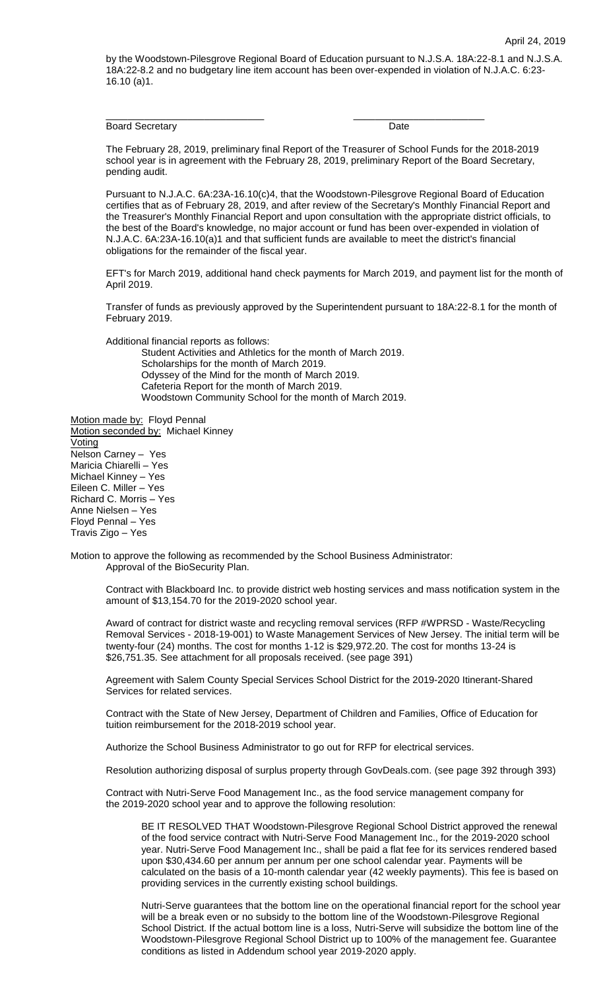by the Woodstown-Pilesgrove Regional Board of Education pursuant to N.J.S.A. 18A:22-8.1 and N.J.S.A. 18A:22-8.2 and no budgetary line item account has been over-expended in violation of N.J.A.C. 6:23- 16.10 (a)1.

Board Secretary **Date Date Date** 

The February 28, 2019, preliminary final Report of the Treasurer of School Funds for the 2018-2019 school year is in agreement with the February 28, 2019, preliminary Report of the Board Secretary, pending audit.

\_\_\_\_\_\_\_\_\_\_\_\_\_\_\_\_\_\_\_\_\_\_\_\_\_\_\_\_\_ \_\_\_\_\_\_\_\_\_\_\_\_\_\_\_\_\_\_\_\_\_\_\_\_

Pursuant to N.J.A.C. 6A:23A-16.10(c)4, that the Woodstown-Pilesgrove Regional Board of Education certifies that as of February 28, 2019, and after review of the Secretary's Monthly Financial Report and the Treasurer's Monthly Financial Report and upon consultation with the appropriate district officials, to the best of the Board's knowledge, no major account or fund has been over-expended in violation of N.J.A.C. 6A:23A-16.10(a)1 and that sufficient funds are available to meet the district's financial obligations for the remainder of the fiscal year.

EFT's for March 2019, additional hand check payments for March 2019, and payment list for the month of April 2019.

Transfer of funds as previously approved by the Superintendent pursuant to 18A:22-8.1 for the month of February 2019.

Additional financial reports as follows:

Student Activities and Athletics for the month of March 2019. Scholarships for the month of March 2019. Odyssey of the Mind for the month of March 2019. Cafeteria Report for the month of March 2019. Woodstown Community School for the month of March 2019.

Motion made by: Floyd Pennal Motion seconded by: Michael Kinney Voting Nelson Carney – Yes Maricia Chiarelli – Yes Michael Kinney – Yes Eileen C. Miller – Yes Richard C. Morris – Yes Anne Nielsen – Yes Floyd Pennal – Yes Travis Zigo – Yes

Motion to approve the following as recommended by the School Business Administrator: Approval of the BioSecurity Plan.

Contract with Blackboard Inc. to provide district web hosting services and mass notification system in the amount of \$13,154.70 for the 2019-2020 school year.

Award of contract for district waste and recycling removal services (RFP #WPRSD - Waste/Recycling Removal Services - 2018-19-001) to Waste Management Services of New Jersey. The initial term will be twenty-four (24) months. The cost for months 1-12 is \$29,972.20. The cost for months 13-24 is \$26,751.35. See attachment for all proposals received. (see page 391)

Agreement with Salem County Special Services School District for the 2019-2020 Itinerant-Shared Services for related services.

Contract with the State of New Jersey, Department of Children and Families, Office of Education for tuition reimbursement for the 2018-2019 school year.

Authorize the School Business Administrator to go out for RFP for electrical services.

Resolution authorizing disposal of surplus property through GovDeals.com. (see page 392 through 393)

Contract with Nutri-Serve Food Management Inc., as the food service management company for the 2019-2020 school year and to approve the following resolution:

BE IT RESOLVED THAT Woodstown-Pilesgrove Regional School District approved the renewal of the food service contract with Nutri-Serve Food Management Inc., for the 2019-2020 school year. Nutri-Serve Food Management Inc., shall be paid a flat fee for its services rendered based upon \$30,434.60 per annum per annum per one school calendar year. Payments will be calculated on the basis of a 10-month calendar year (42 weekly payments). This fee is based on providing services in the currently existing school buildings.

Nutri-Serve guarantees that the bottom line on the operational financial report for the school year will be a break even or no subsidy to the bottom line of the Woodstown-Pilesgrove Regional School District. If the actual bottom line is a loss, Nutri-Serve will subsidize the bottom line of the Woodstown-Pilesgrove Regional School District up to 100% of the management fee. Guarantee conditions as listed in Addendum school year 2019-2020 apply.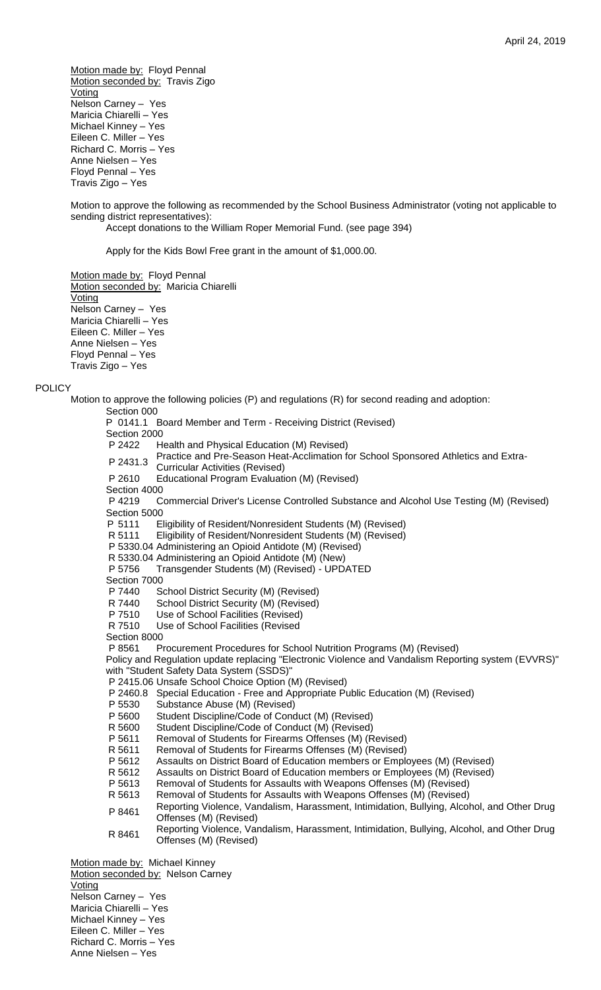Motion made by: Floyd Pennal Motion seconded by: Travis Zigo **Voting** Nelson Carney – Yes Maricia Chiarelli – Yes Michael Kinney – Yes Eileen C. Miller – Yes Richard C. Morris – Yes Anne Nielsen – Yes Floyd Pennal – Yes Travis Zigo – Yes

Motion to approve the following as recommended by the School Business Administrator (voting not applicable to sending district representatives): Accept donations to the William Roper Memorial Fund. (see page 394)

Apply for the Kids Bowl Free grant in the amount of \$1,000.00.

Motion made by: Floyd Pennal Motion seconded by: Maricia Chiarelli **Voting** Nelson Carney – Yes Maricia Chiarelli – Yes Eileen C. Miller – Yes Anne Nielsen – Yes Floyd Pennal – Yes Travis Zigo – Yes

### **POLICY**

Motion to approve the following policies (P) and regulations (R) for second reading and adoption: Section 000 P 0141.1 Board Member and Term - Receiving District (Revised) Section 2000 P 2422 Health and Physical Education (M) Revised) <sup>P</sup> 2431.3 Practice and Pre-Season Heat-Acclimation for School Sponsored Athletics and Extra-Curricular Activities (Revised) P 2610 Educational Program Evaluation (M) (Revised) Section 4000 P 4219 Commercial Driver's License Controlled Substance and Alcohol Use Testing (M) (Revised) Section 5000 P 5111 Eligibility of Resident/Nonresident Students (M) (Revised) R 5111 Eligibility of Resident/Nonresident Students (M) (Revised) P 5330.04 Administering an Opioid Antidote (M) (Revised) R 5330.04 Administering an Opioid Antidote (M) (New) P 5756 Transgender Students (M) (Revised) - UPDATED Section 7000 P 7440 School District Security (M) (Revised) R 7440 School District Security (M) (Revised) P 7510 Use of School Facilities (Revised) R 7510 Use of School Facilities (Revised Section 8000 P 8561 Procurement Procedures for School Nutrition Programs (M) (Revised) Policy and Regulation update replacing "Electronic Violence and Vandalism Reporting system (EVVRS)" with "Student Safety Data System (SSDS)" P 2415.06 Unsafe School Choice Option (M) (Revised) P 2460.8 Special Education - Free and Appropriate Public Education (M) (Revised) P 5530 Substance Abuse (M) (Revised)<br>P 5600 Student Discipline/Code of Conc Student Discipline/Code of Conduct (M) (Revised) R 5600 Student Discipline/Code of Conduct (M) (Revised) P 5611 Removal of Students for Firearms Offenses (M) (Revised) R 5611 Removal of Students for Firearms Offenses (M) (Revised) P 5612 Assaults on District Board of Education members or Employees (M) (Revised) R 5612 Assaults on District Board of Education members or Employees (M) (Revised) P 5613 Removal of Students for Assaults with Weapons Offenses (M) (Revised) R 5613 Removal of Students for Assaults with Weapons Offenses (M) (Revised) Removal of Students for Assaults with Weapons Offenses (M) (Revised) P 8461 Reporting Violence, Vandalism, Harassment, Intimidation, Bullying, Alcohol, and Other Drug Offenses (M) (Revised) R 8461 Reporting Violence, Vandalism, Harassment, Intimidation, Bullying, Alcohol, and Other Drug Offenses (M) (Revised) Motion made by: Michael Kinney Motion seconded by: Nelson Carney Voting Nelson Carney – Yes Maricia Chiarelli – Yes Michael Kinney – Yes Eileen C. Miller – Yes Richard C. Morris – Yes

Anne Nielsen – Yes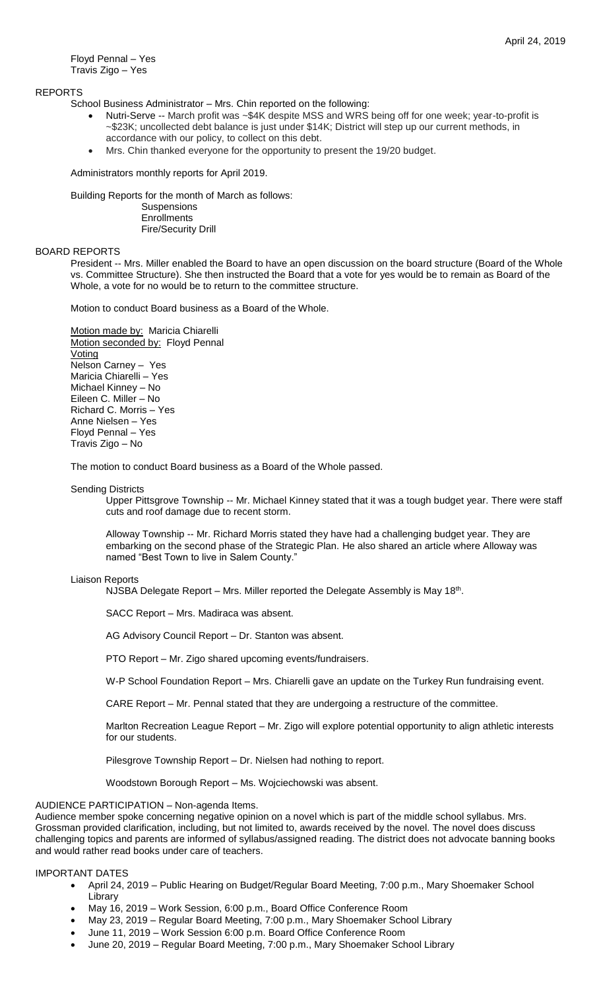Floyd Pennal – Yes Travis Zigo – Yes

# REPORTS

School Business Administrator – Mrs. Chin reported on the following:

- Nutri-Serve -- March profit was ~\$4K despite MSS and WRS being off for one week; year-to-profit is ~\$23K; uncollected debt balance is just under \$14K; District will step up our current methods, in accordance with our policy, to collect on this debt.
- Mrs. Chin thanked everyone for the opportunity to present the 19/20 budget.

Administrators monthly reports for April 2019.

Building Reports for the month of March as follows:

**Suspensions Enrollments** Fire/Security Drill

### BOARD REPORTS

President -- Mrs. Miller enabled the Board to have an open discussion on the board structure (Board of the Whole vs. Committee Structure). She then instructed the Board that a vote for yes would be to remain as Board of the Whole, a vote for no would be to return to the committee structure.

Motion to conduct Board business as a Board of the Whole.

Motion made by: Maricia Chiarelli Motion seconded by: Floyd Pennal **Voting** Nelson Carney – Yes Maricia Chiarelli – Yes Michael Kinney – No Eileen C. Miller – No Richard C. Morris – Yes Anne Nielsen – Yes Floyd Pennal – Yes Travis Zigo – No

The motion to conduct Board business as a Board of the Whole passed.

### Sending Districts

Upper Pittsgrove Township -- Mr. Michael Kinney stated that it was a tough budget year. There were staff cuts and roof damage due to recent storm.

Alloway Township -- Mr. Richard Morris stated they have had a challenging budget year. They are embarking on the second phase of the Strategic Plan. He also shared an article where Alloway was named "Best Town to live in Salem County."

### Liaison Reports

NJSBA Delegate Report – Mrs. Miller reported the Delegate Assembly is May 18<sup>th</sup>.

SACC Report – Mrs. Madiraca was absent.

AG Advisory Council Report – Dr. Stanton was absent.

PTO Report – Mr. Zigo shared upcoming events/fundraisers.

W-P School Foundation Report – Mrs. Chiarelli gave an update on the Turkey Run fundraising event.

CARE Report – Mr. Pennal stated that they are undergoing a restructure of the committee.

Marlton Recreation League Report – Mr. Zigo will explore potential opportunity to align athletic interests for our students.

Pilesgrove Township Report – Dr. Nielsen had nothing to report.

Woodstown Borough Report – Ms. Wojciechowski was absent.

# AUDIENCE PARTICIPATION – Non-agenda Items.

Audience member spoke concerning negative opinion on a novel which is part of the middle school syllabus. Mrs. Grossman provided clarification, including, but not limited to, awards received by the novel. The novel does discuss challenging topics and parents are informed of syllabus/assigned reading. The district does not advocate banning books and would rather read books under care of teachers.

# IMPORTANT DATES

- April 24, 2019 Public Hearing on Budget/Regular Board Meeting, 7:00 p.m., Mary Shoemaker School Library
- May 16, 2019 Work Session, 6:00 p.m., Board Office Conference Room
- May 23, 2019 Regular Board Meeting, 7:00 p.m., Mary Shoemaker School Library
- June 11, 2019 Work Session 6:00 p.m. Board Office Conference Room
- June 20, 2019 Regular Board Meeting, 7:00 p.m., Mary Shoemaker School Library